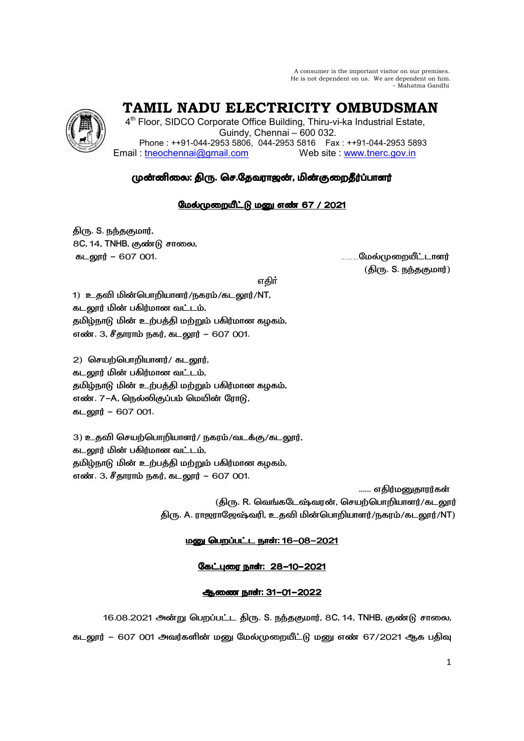A consumer is the important visitor on our premises. He is not dependent on us. We are dependent on him. – Mahatma Gandhi

# **TAMIL NADU ELECTRICITY OMBUDSMAN**

4<sup>th</sup> Floor, SIDCO Corporate Office Building, Thiru-vi-ka Industrial Estate, Guindy, Chennai – 600 032. Phone : ++91-044-2953 5806, 044-2953 5816 Fax : ++91-044-2953 5893 Email : tneochennai@gmail.com Web site : www.tnerc.gov.in

## முன்னிலை: திரு. செ.தேவராஜன், மின்குறைதீர்ப்பாளர்

### மேல்முறையீட்டு மனு எண் 67 / 2021

திரு. S. நந்தகுமார், 8C, 14, TNHB, குண்டு சாலை, 456 – 607 001. ………
5

(திரு. S. நந்தகுமார்)

ு பெரும் முறையாக குறியில் பெரும் விருந்து விடும்பு பெரும் விடும்பு பெரும் விடும்பு பெரும் விடும்பு பெரும் விடும

1) உதவி மின்பொறியாளர்/நகரம்/கடலூர்/NT, கடலூர் மின் பகிர்மான வட்டம், தமிழ்நாடு மின் உற்பத்தி மற்றும் பகிர்மான கழகம், எண். 3, சீதாராம் நகர், கடலூர் – 607 001.

 $2)$  செயற்பொறியாளர்/ கடலூர், கடலூர் மின் பகிர்மான வட்டம், தமிழ்நாடு மின் உற்பத்தி மற்றும் பகிர்மான கழகம், எண். 7–A, நெல்லிகுப்பம் மெயின் ரோடு, 456 – 607 001.

3) உதவி செயற்பொறியாளர்/ நகரம்/வடக்கு/கடலூர், கடலூர் மின் பகிர்மான வட்டம், தமிழ்நாடு மின் உற்பத்தி மற்றும் பகிர்மான கழகம், எண். 3, சீதாராம் நகர், கடலூர் – 607 001.

...... எதிர்மனுதாரர்கள் (திரு. R. வெங்கடேஷ்வரன், செயற்பொறியாளர்/கடலூர் திரு. A. ராஜராஜேஷ்வரி, உதவி மின்பொறியாளர்/நகரம்/கடலூர்/NT)

#### <u> மனு பெறப்பட்ட நாள்: 16-08-2021</u>

கேட்புரை நாள்: 28-10-2021

#### ஆணை நாள்: 31-01-2022

16.08.2021 அன்று பெறப்பட்ட திரு. S. நந்தகுமார், 8C, 14, TNHB, குண்டு சாலை, கடலூர் – 607 001 அவர்களின் மனு மேல்முறையீட்டு மனு எண் 67/2021 ஆக பதிவு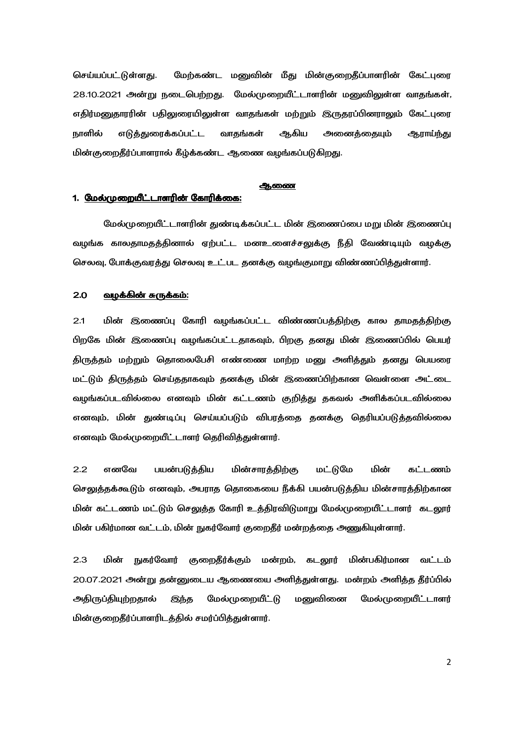செய்யப்பட்டுள்ளது. மேற்கண்ட மனுவின் மீது மின்குறைதீப்பாளரின் கேட்புரை 28.10.2021 அன்று நடைபெற்றது. மேல்முறையீட்டாளரின் மனுவிலுள்ள வாதங்கள், எதிர்மனுதாரரின் பதிலுரையிலுள்ள வாதங்கள் மற்றும் இருதரப்பினராலும் கேட்புரை நாளில் எடுக்குரைக்கப்பட்ட வாகங்கள் ஆகிய அனைக்கையும் ஆராய்ந்து மின்குறைதீர்ப்பாளரால் கீழ்க்கண்ட ஆணை வழங்கப்படுகிறது.

#### ஆணை

#### 1. <u>மேல்முறையீட்டாளரின் கோரிக்கை:</u>

மேல்முறையீட்டாளரின் துண்டிக்கப்பட்ட மின் இணைப்பை மறு மின் இணைப்பு வழங்க காலதாமதத்தினால் ஏற்பட்ட மனஉளைச்சலுக்கு நீதி வேண்டியும் வழக்கு செலவு, போக்குவரத்து செலவு உட்பட தனக்கு வழங்குமாறு விண்ணப்பித்துள்ளார்.

#### <u>2.0 வழக்கின் சுருக்கம்:</u>

2.1 மின் இணைப்பு கோரி வழங்கப்பட்ட விண்ணப்பத்திற்கு கால தாமதத்திற்கு பிறகே மின் இணைப்பு வழங்கப்பட்டதாகவும், பிறகு தனது மின் இணைப்பில் பெயர் திருத்தம் மற்றும் தொலைபேசி எண்ணை மாற்ற மனு அளித்தும் தனது பெயரை மட்டும் திருத்தம் செய்ததாகவும் தனக்கு மின் இணைப்பிற்கான வெள்ளை அட்டை வழங்கப்படவில்லை எனவும் மின் கட்டணம் குறித்து தகவல் அளிக்கப்படவில்லை எனவும், மின் துண்டிப்பு செய்யப்படும் விபரத்தை தனக்கு தெரியப்படுத்தவில்லை எனவும் மேல்முறையீட்டாளர் தெரிவித்துள்ளார்.

2.2 எனவே பயன்படுத்திய மின்சாரத்திற்கு மட்டுமே மின் கட்டணம் செலுத்தக்கூடும் எனவும், அபராத தொகையை நீக்கி பயன்படுத்திய மின்சாரத்திற்கான மின் கட்டணம் மட்டும் செலுத்த கோரி உத்திரவிடுமாறு மேல்முறையீட்டாளர் கடலூர் மின் பகிர்மான வட்டம், மின் நுகர்வோர் குறைதீர் மன்றத்தை அணுகியுள்ளார்.

2.3 மின் ் நுகர்வோர் குறைதீர்க்கும் மன்றம், கடலூர் மின் மின்பகிர்மான வட்டம் 20.07.2021 அன்று தன்னுடைய ஆணையை அளித்துள்ளது. மன்றம் அளித்த தீர்ப்பில் அதிருப்தியுற்றதால் இந்த மேல்முறையீட்டு மனுவினை மேல்முறையீட்டாளர் மின்குறைதீர்ப்பாளரிடத்தில் சமர்ப்பித்துள்ளார்.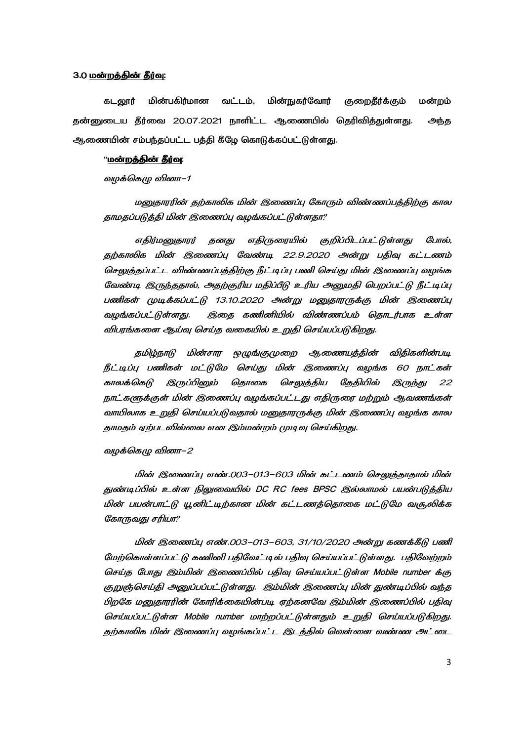#### 3.0 <u>மன்றத்தின் தீர்வு:</u>

கடலூர் மின்பகிர்மான வட்டம், மின்நுகர்வோர் குறைதீர்க்கும் மன்றம் தன்னுடைய தீர்வை 20.07.2021 நாளிட்ட ஆணையில் தெரிவித்துள்ளது. அந்த ஆணையின் சம்பந்தப்பட்ட பத்தி கீழே கொடுக்கப்பட்டுள்ளது.

#### "<u>மன்றத்தின் தீர்வு</u>:

வழக்கெழு வினா–1

மனுதாரரின் தற்காலிக மின் இணைப்பு கோரும் விண்ணப்பத்திற்கு கால தாமதப்படுத்தி மின் இணைப்பு வழங்கப்பட்டுள்ளதா?

எதிர்மனுதாரர் தனது எதிருரையில் குறிப்பிடப்பட்டுள்ளது போல், தற்காலிக மின் இணைப்பு வேண்டி 22.9.2020 அன்று பதிவு கட்டணம் செலுத்தப்பட்ட விண்ணப்பத்திற்கு நீட்டிப்பு பணி செய்து மின் இணைப்பு வழங்க வேண்டி இருந்ததால், அதற்குரிய மதிப்பீடு உரிய அனுமதி பெறப்பட்டு நீட்டிப்பு பணிகள் முடிக்கப்பட்டு 13.10.2020 அன்று மனுதாரருக்கு மின் இணைப்பு வழங்கப்பட்டுள்ளது. இதை கணினியில் விண்ணப்பம் தொடர்பாக உள்ள விபரங்களை ஆய்வு செய்த வகையில் உறுதி செய்யப்படுகிறது.

தமிழ்நாடு மின்சார ஒழுங்குமுறை ஆணையத்தின் விதிகளின்படி நீட்டிப்பு பணிகள் மட்டுமே செய்து மின் இணைப்பு வழங்க 60 நாட்கள் காலக்கெடு இருப்பினும் தொகை செலுத்திய தேதியில் இருந்து 22 நாட்களுக்குள் மின் இணைப்பு வழங்கப்பட்டது எதிருரை மற்றும் ஆவணங்கள் வாயிலாக உறுதி செய்யப்படுவதால் மனுதாரருக்கு மின் இணைப்பு வழங்க கால தாமதம் ஏற்படவில்லை என இம்மன்றம் முடிவு செய்கிறது.

வழக்கெழு வினா–2

மின் இணைப்பு எண்.003–013–603 மின் கட்டணம் செலுத்தாதால் மின் துண்டிப்பில் உள்ள நிலுவையில் DC RC fees BPSC இல்லாமல் பயன்படுத்திய மின் பயன்பாட்டு யூனிட்டிற்கான மின் கட்டணத்தொகை மட்டுமே வசூலிக்க கோருவது சரியா?

மின் இணைப்பு எண்.003–013–603, 31/10/2020 அன்று கணக்கீடு பணி மேற்கொள்ளப்பட்டு கணினி பதிவேட்டில் பதிவு செய்யப்பட்டுள்ளது. பதிவேற்றம் செய்த போது இம்மின் இணைப்பில் பதிவு செய்யப்பட்டுள்ள Mobile number க்கு குறுஞ்செய்தி அனுப்பப்பட்டுள்ளது. இம்மின் இணைப்பு மின் துண்டிப்பில் வந்த பிறகே மனுதாரரின் கோரிக்கையின்படி ஏற்கனவே இம்மின் இணைப்பில் பதிவு செய்யப்பட்டுள்ள Mobile number மாற்றப்பட்டுள்ளதும் உறுதி செய்யப்படுகிறது. தற்காலிக மின் இணைப்பு வழங்கப்பட்ட இடத்தில் வெள்ளை வண்ண அட்டை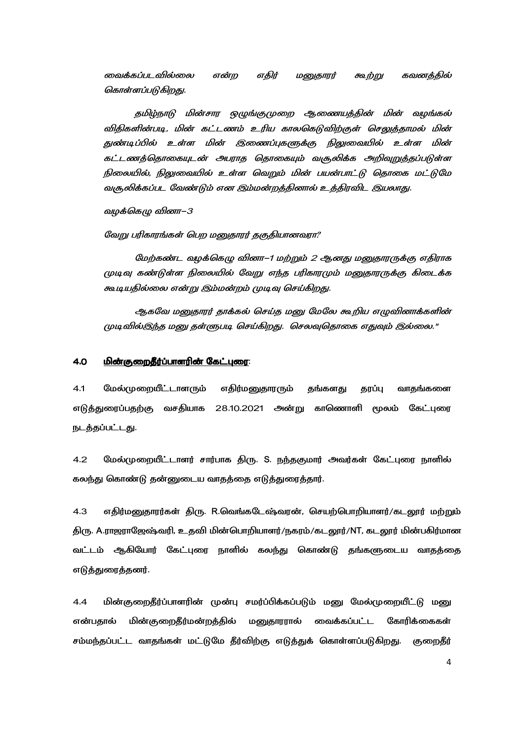வைக்கப்படவில்லை என்ற எதிர் மனுதாரர் கூற்று கவனத்தில் கொள்ளப்படுகிறது.

தமிழ்நாடு மின்சார ஒழுங்குமுறை ஆணையத்தின் மின் வழங்கல் விதிகளின்படி, மின் கட்டணம் உரிய காலகெடுவிற்குள் செலுத்தாமல் மின் துண்டிப்பில் உள்ள மின் இணைப்புகளுக்கு நிலுவையில் உள்ள மின் கட்டணத்தொகையுடன் அபராத தொகையும் வசூலிக்க அறிவுறுத்தப்படுள்ள நிலையில், நிலுவையில் உள்ள வெறும் மின் பயன்பாட்டு தொகை மட்டுமே வசூலிக்கப்பட வேண்டும் என இம்மன்றத்தினால் உத்திரவிட இயலாது.

வழக்கெழு வினா–3

வேறு பரிகாரங்கள் பெற மனுதாரர் தகுதியானவரா?

மேற்கண்ட வழக்கெழு வினா–1 மற்றும் 2 ஆனது மனுதாரருக்கு எதிராக முடிவு கண்டுள்ள நிலையில் வேறு எந்த பரிகாரமும் மனுதாரருக்கு கிடைக்க கூடியதில்லை என்று இம்மன்றம் முடிவு செய்கிறது.

ஆகவே மனுதாரர் தாக்கல் செய்த மனு மேலே கூறிய எழுவினாக்களின் முடிவில்இந்த மனு தள்ளுபடி செய்கிறது. செலவுதொகை எதுவும் இல்லை."

#### <u>4.0 மின்குறைதீர்ப்பாளரின் கேட்புரை:</u>

4.1 மேல்முறையீட்டாளரும் எதிர்மனுதாரரும் தங்களது தரப்பு வாதங்களை எடுத்துரைப்பதற்கு வசதியாக 28.10.2021 அன்று காணொளி மூலம் கேட்புரை நடத்தப்பட்டது.

4.2 மேல்முறையீட்டாளர் சார்பாக திரு. S. நந்தகுமார் அவர்கள் கேட்புரை நாளில் கலந்து கொண்டு தன்னுடைய வாதத்தை எடுத்துரைத்தார்.

4.3 எதிர்மனுதாரர்கள் திரு. R.வெங்கடேஷ்வரன், செயற்பொறியாளர்/கடலூர் மற்றும் திரு. A.ராஜராஜேஷ்வரி, உதவி மின்பொறியாளர்/நகரம்/கடலூர்/NT, கடலூர் மின்பகிர்மான வட்டம் ஆகியோர் கேட்புரை நாளில் கலந்து கொண்டு தங்களுடைய வாதத்தை எடுத்துரைத்தனர்.

4.4 மின்குறைதீர்ப்பாளரின் முன்பு சமர்ப்பிக்கப்படும் மனு மேல்முறையீட்டு மனு என்பதால் மின் குறைதீர்மன்றத்தில் மனுதாரரால் வைக்கப்பட்ட கோரிக்கைகள் சம்மந்தப்பட்ட வாதங்கள் மட்டுமே தீர்விற்கு எடுத்துக் கொள்ளப்படுகிறது. குறைதீர்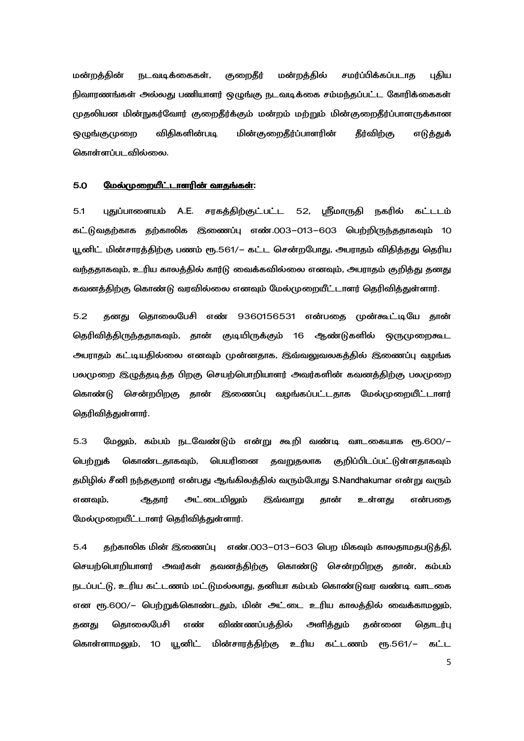மன்றத்தின் நடவடிக்கைகள், குறைதீர் மன்றத்தில் சமர்ப்பிக்கப்படாத புதிய நிவாரணங்கள் அல்லது பணியாளர் ஒழுங்கு நடவடிக்கை சம்மந்தப்பட்ட கோரிக்கைகள் முதலியன மின்நுகர்வோர் குறைதீர்க்கும் மன்றம் மற்றும் மின்குறைதீர்ப்பாளருக்கான ஒமுங்குமுறை விதிகளின்படி படி மின்குறைதீர்ப்பாளரின் தீர்விற்கு எடுத்துக் கொள்ளப்படவில்லை.

#### 5.0 
5R- P4N P4N:

5.1 புதுப்பாளையம் A.E. சரகத்திற்குட்பட்ட 52, ஸ்ரீமாருதி நகரில் கட்டடம் கட்டுவதற்காக தற்காலிக இணைப்பு எண்.003–013–603 பெற்றிருந்ததாகவும் 10 யூனிட் மின்சாரத்திற்கு பணம் ரூ.561/– கட்ட சென்றபோது, அபராதம் விதித்தது தெரிய வந்ததாகவும், உரிய காலத்தில் கார்டு வைக்கவில்லை எனவும், அபராதம் குறித்து தனது கவனக்கிற்கு கொண்டு வரவில்லை எனவும் மேல்முறையீட்டாளர் கெரிவிக்குள்ளார்.

5.2 தனது தொலைபேசி எண் 9360156531 என்பதை முன்கூட்டியே தான் தெரிவித்திருந்ததாகவும், தான் குடியிருக்கும் 16 ஆண்டுகளில் ஒருமுறைகூட அபராதம் கட்டியதில்லை எனவும் முன்னதாக, இவ்வலுவலகத்தில் இணைப்பு வழங்க பலமுறை இழுத்தடித்த பிறகு செயற்பொறியாளர் அவர்களின் கவனத்திற்கு பலமுறை கொண்டு சென்றபிறகு தான் இணைப்பு வழங்கப்பட்டதாக மேல்முறையீட்டாளர் தெரிவித்துள்ளார்.

5.3 மேலும், கம்பம் நடவேண்டும் என்று கூறி வண்டி வாடகையாக ரூ.600/– பெற்றுக் கொண்டதாகவும், பெயரினை தவறுதலாக குறிப்பிடப்பட்டுள்ளதாகவும் தமிழில் சீனி நந்தகுமார் என்பது ஆங்கிலத்தில் வரும்போது S.Nandhakumar என்று வரும் எனவும், ஆதார் அட்டையிலும் இவ்வாறு தான் உள்ளது என்பதை மேல்முறையீட்டாளர் தெரிவித்துள்ளார்.

5.4 தற்காலிக மின் இணைப்பு எண்.003–013–603 பெற மிகவும் காலதாமதபடுத்தி, செயற்பொறியாளர் அவர்கள் தவனத்திற்கு கொண்டு சென்றபிறகு தான், கம்பம் நடப்பட்டு, உரிய கட்டணம் மட்டுமல்லாது, தனியா கம்பம் கொண்டுவர வண்டி வாடகை என ரூ.600/– பெற்றுக்கொண்டதும், மின் அட்டை உரிய காலத்தில் வைக்காமலும், கனது கொலைபேசி எண் விண்ணப்பக்கில் அளிக்கும் கன்னை கொடர்பு கொள்ளாமலும், 10 யூனிட் மின்சாரத்திற்கு உரிய கட்டணம் ரூ.561/– கட்ட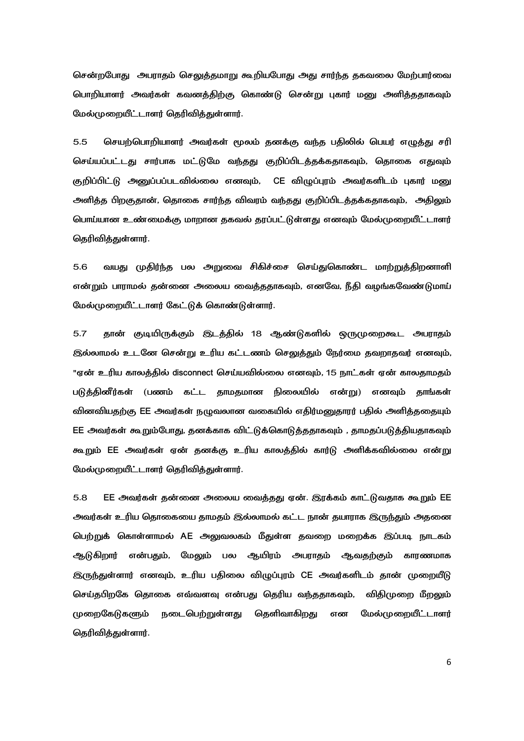சென்றபோது அபராதம் செலுத்தமாறு கூறியபோது அது சார்ந்த தகவலை மேற்பார்வை பொறியாளர் அவர்கள் கவனத்திற்கு கொண்டு சென்று புகார் மனு அளித்ததாகவும் மேல்முறையீட்டாளர் தெரிவித்துள்ளார்.

 $5.5$ செயற்பொறியாளர் அவர்கள் மூலம் தனக்கு வந்த பதிலில் பெயர் எழுத்து சரி செய்யப்பட்டது சார்பாக மட்டுமே வந்தது குறிப்பிடத்தக்கதாகவும், தொகை எதுவும் குறிப்பிட்டு அனுப்பப்படவில்லை எனவும், CE விழுப்புரம் அவர்களிடம் புகார் மனு அளித்த பிறகுதான், தொகை சார்ந்த விவரம் வந்தது குறிப்பிடத்தக்கதாகவும், அதிலும் பொய்யான உண்மைக்கு மாறான தகவல் தரப்பட்டுள்ளது எனவும் மேல்முறையீட்டாளர் கெரிவிக்குள்ளார்.

 $5.6$ வயது முதிர்ந்த பல அறுவை சிகிச்சை செய்துகொண்ட மாற்றுத்திறனாளி என்றும் பாராமல் கன்னை அலைய வைக்ககாகவம். எனவே. நீகி வமங்கவேண்டுமாய் மேல்முறையீட்டாளர் கேட்டுக் கொண்டுள்ளார்.

5.7 தான் குடியிருக்கும் இடத்தில் 18 ஆண்டுகளில் ஒருமுறைகூட அபராதம் இல்லாமல் உடனே சென்று உரிய கட்டணம் செலுத்தும் நேர்மை தவறாதவர் எனவும், "ஏன் உரிய காலத்தில் disconnect செய்யவில்லை எனவும், 15 நாட்கள் ஏன் காலதாமதம் படுத்தினீர்கள் (பணம் கட்ட தாமதமான நிலையில் என்று) எனவும் தாங்கள் வினவியதற்கு EE அவர்கள் நழுவலான வகையில் எதிர்மனுதாரர் பதில் அளித்ததையும் EE அவர்கள் கூறும்போது, தனக்காக விட்டுக்கொடுத்ததாகவும் , தாமதப்படுத்தியதாகவும் கூறும் EE அவர்கள் ஏன் தனக்கு உரிய காலத்தில் கார்டு அளிக்கவில்லை என்று மேல்முறையீட்டாளர் தெரிவித்துள்ளார்.

 $5.8$ EE அவர்கள் தன்னை அலைய வைத்தது ஏன். இரக்கம் காட்டுவதாக கூறும் EE அவர்கள் உரிய தொகையை தாமதம் இல்லாமல் கட்ட நான் தயாராக இருந்தும் அதனை பெற்றுக் கொள்ளாமல் AE அலுவலகம் மீதுள்ள தவறை மறைக்க இப்படி நாடகம் ஆடுகிறார் என்பதும், மேலும் பல ஆயிரம் அபராதம் ஆவதற்கும் காரணமாக இருந்துள்ளார் எனவும், உரிய பதிலை விழுப்புரம் CE அவர்களிடம் தான் முறையீடு செய்தபிறகே தொகை எவ்வளவு என்பது தெரிய வந்ததாகவும், விதிமுறை மீறலும் முறைகேடுகளும் நடைபெற்றுள்ளது தெளிவாகிறது என மேல்முறையீட்டாளர் தெரிவித்துள்ளார்.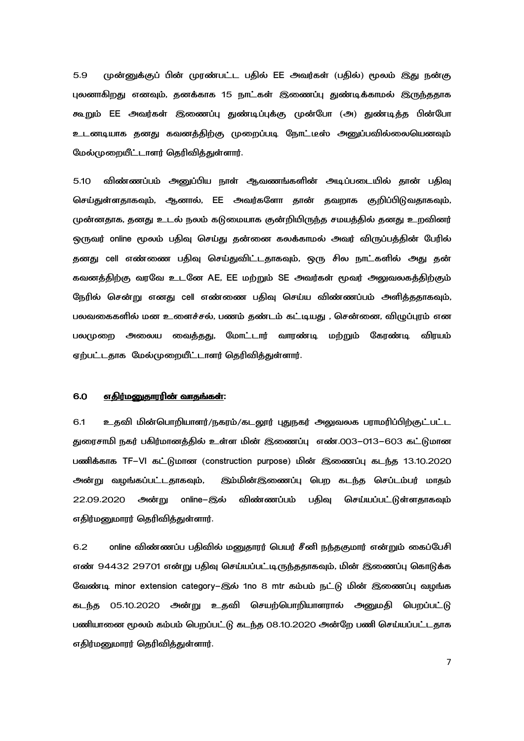முன்னுக்குப் பின் முரண்பட்ட பதில் EE அவர்கள் (பதில்) மூலம் இது நன்கு  $5.9$ புலனாகிறது எனவும், தனக்காக 15 நாட்கள் இணைப்பு துண்டிக்காமல் இருந்ததாக கூறும் EE அவர்கள் இணைப்பு துண்டிப்புக்கு முன்போ (அ) துண்டித்த பின்போ உடனடியாக தனது கவனத்திற்கு முறைப்படி நோட்டீஸ் அனுப்பவில்லையெனவும் மேல்முறையீட்டாளர் தெரிவிக்குள்ளார்.

விண்ணப்பம் அனுப்பிய நாள் ஆவணங்களின் அடிப்படையில் தான் பதிவு  $5.10$ செய்துள்ளதாகவும், ஆனால், EE அவர்களோ தான் தவறாக குறிப்பிடுவதாகவும், முன்னதாக, தனது உடல் நலம் கடுமையாக குன்றியிருந்த சமயத்தில் தனது உறவினர் ஒருவர் online மூலம் பகிவு செய்து கன்னை கலக்காமல் அவர் விருப்பக்கின் பேரில் தனது cell எண்ணை பதிவு செய்துவிட்டதாகவும், ஒரு சில நாட்களில் அது தன் கவனத்திற்கு வரவே உடனே AE, EE மற்றும் SE அவர்கள் மூவர் அலுவலகத்திற்கும் நேரில் சென்று எனது cell எண்ணை பதிவு செய்ய விண்ணப்பம் அளித்ததாகவும், பலவகைகளில் மன உளைச்சல், பணம் தண்டம் கட்டியது , சென்னை, விழுப்புரம் என பலமுறை அலைய வைத்தது, மோட்டார் வாரண்டி மற்றும் கேரண்டி விரயம் ஏற்பட்டதாக மேல்முறையீட்டாளர் தெரிவித்துள்ளார்.

#### 6.0 எதிர்மனுதாரரின் வாதங்கள்:

6.1 உதவி மின்பொறியாளர்/நகரம்/கடலூர் புதுநகர் அலுவலக பராமரிப்பிற்குட்பட்ட துரைசாமி நகர் பகிர்மானத்தில் உள்ள மின் இணைப்பு எண்.003–013–603 கட்டுமான பணிக்காக TF-VI கட்டுமான (construction purpose) மின் இணைப்பு கடந்த 13.10.2020 அன்று வழங்கப்பட்டதாகவும், இம்மின்இணைப்பு பெற கடந்த செப்டம்பர் மாதம் 22.09.2020 அன்று online-இல் விண்ணப்பம் பதிவு செய்யப்பட்டுள்ளதாகவும் எதிர்மனுமாரர் தெரிவித்துள்ளார்.

online விண்ணப்ப பதிவில் மனுதாரர் பெயர் சீனி நந்தகுமார் என்றும் கைப்பேசி  $6.2$ எண் 94432 29701 என்று பதிவு செய்யப்பட்டிருந்ததாகவும், மின் இணைப்பு கொடுக்க வேண்டி minor extension category–இல் 1no 8 mtr கம்பம் நட்டு மின் இணைப்பு வழங்க கடந்த 05.10.2020 அன்று உதவி செயற்பொறியாளரால் அனுமதி பெறப்பட்டு பணியானை மூலம் கம்பம் பெறப்பட்டு கடந்த 08.10.2020 அன்றே பணி செய்யப்பட்டதாக எதிர்மனுமாரர் தெரிவித்துள்ளார்.

 $\overline{7}$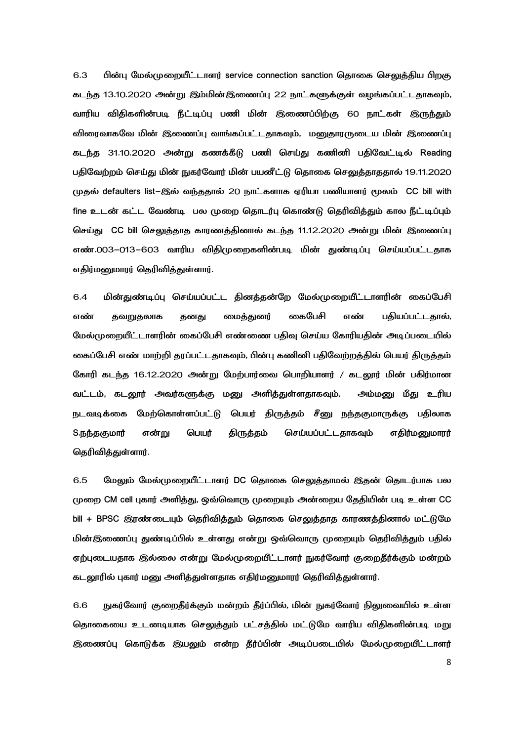6.3 பின்பு மேல்முறையீட்டாளர் service connection sanction தொகை செலுத்திய பிறகு கடந்த 13.10.2020 அன்று இம்மின்இணைப்பு 22 நாட்களுக்குள் வழங்கப்பட்டதாகவும், வாரிய விதிகளின்படி நீட்டிப்பு பணி மின் இணைப்பிற்கு 60 நாட்கள் இருந்தும் விரைவாகவே மின் இணைப்பு வாங்கப்பட்டதாகவும், மனுதாரருடைய மின் இணைப்பு கடந்த 31.10.2020 அன்று கணக்கீடு பணி செய்து கணினி பதிவேட்டில் Reading பதிவேற்றம் செய்து மின் நுகர்வோர் மின் பயனீட்டு தொகை செலுத்தாததால் 19.11.2020 (முதல் defaulters list-இல் வந்ததால் 20 நாட்களாக ஏரியா பணியாளர் மூலம்  $CC$  bill with fine உடன் கட்ட வேண்டி பல முறை தொடர்பு கொண்டு தெரிவித்தும் கால நீட்டிப்பும் செய்து CC bill செலுத்தாத காரணத்தினால் கடந்த 11.12.2020 அன்று மின் இணைப்பு எண்.003–013–603 வாரிய விதிமுறைகளின்படி மின் துண்டிப்பு செய்யப்பட்டதாக எதிர்மனுமாரர் தெரிவித்துள்ளார்.

6.4 மின்துண்டிப்பு செய்யப்பட்ட தினத்தன்றே மேல்முறையீட்டாளரின் கைப்பேசி எண் தவறுதலாக தனது மைத்துனர் கைபேசி எண் பதியப்பட்டதால், மேல்முறையீட்டாளரின் கைப்பேசி எண்ணை பதிவு செய்ய கோரியதின் அடிப்படையில் கைப்பேசி எண் மாற்றி தரப்பட்டதாகவும், பின்பு கணினி பதிவேற்றத்தில் பெயர் திருத்தம் கோரி கடந்த 16.12.2020 அன்று மேற்பார்வை பொறியாளர் / கடலூர் மின் பகிர்மான வட்டம், கடலூர் அவர்களுக்கு மனு அளித்துள்ளதாகவும், அம்மனு மீது உரிய நடவடிக்கை மேற்கொள்ளப்பட்டு பெயர் திருத்தம் சீனு நந்தகுமாருக்கு பதிலாக S.நந்தகுமார் என்று பெயர் திருத்தம் செய்யப்பட்டதாகவும் எதிர்மனுமாரர் தெரிவித்துள்ளார்.

6.5 மேலும் மேல்முறையீட்டாளர் DC தொகை செலுத்தாமல் இதன் தொடர்பாக பல முறை CM cell புகார் அளித்து, ஒவ்வொரு முறையும் அன்றைய தேதியின் படி உள்ள CC bill + BPSC இரண்டையும் தெரிவித்தும் தொகை செலுத்தாத காரணத்தினால் மட்டுமே மின்இணைப்பு துண்டிப்பில் உள்ளது என்று ஒவ்வொரு முறையும் தெரிவித்தும் பதில் ஏற்புடையதாக இல்லை என்று மேல்முறையீட்டாளர் நுகர்வோர் குறைதீர்க்கும் மன்றம் கடலூரில் புகார் மனு அளித்துள்ளதாக எதிர்மனுமாரர் தெரிவித்துள்ளார்.

6.6 நுகர்வோர் குறைதீர்க்கும் மன்றம் தீர்ப்பில், மின் நுகர்வோர் நிலுவையில் உள்ள தொகையை உடனடியாக செலுத்தும் பட்சத்தில் மட்டுமே வாரிய விதிகளின்படி மறு இணைப்பு கொடுக்க இயலும் என்ற தீர்ப்பின் அடிப்படையில் மேல்முறையீட்டாளர்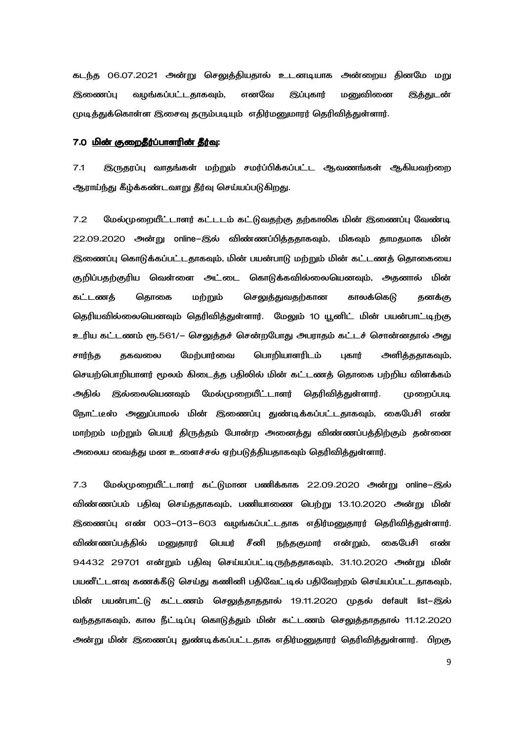கடந்த 06.07.2021 அன்று செலுத்தியதால் உடனடியாக அன்றைய தினமே மறு இணைப்பு வழங்கப்பட்டதாகவும், எனவே இப்புகார் மனுவினை **இத்துடன்** முடித்துக்கொள்ள இசைவு தரும்படியும் எதிர்மனுமாரர் தெரிவித்துள்ளார்.

#### 7.0 <u>மின் குறைதீர்ப்பாளரின் தீர்வு</u>:

7.1 இருதரப்பு வாதங்கள் மற்றும் சமர்ப்பிக்கப்பட்ட ஆவணங்கள் ஆகியவற்றை ஆராய்ந்து கீழ்க்கண்டவாறு தீர்வு செய்யப்படுகிறது.

7.2 மேல்முறையீட்டாளர் கட்டடம் கட்டுவதற்கு தற்காலிக மின் இணைப்பு வேண்டி 22.09.2020 அன்று online–இல் விண்ணப்பித்ததாகவும், மிகவும் தாமதமாக மின் இணைப்பு கொடுக்கப்பட்டதாகவும், மின் பயன்பாடு மற்றும் மின் கட்டணத் தொகையை குறிப்பதற்குரிய வெள்ளை அட்டை கொடுக்கவில்லையெனவும், அதனால் மின் கட்டணத் தொகை மற்றும் செலுத்துவதற்கான காலக்கெடு தனக்கு தெரியவில்லையெனவும் தெரிவித்துள்ளார். மேலும் 10 யூனிட் மின் பயன்பாட்டிற்கு உரிய கட்டணம் ரூ.561/– செலுத்தச் சென்றபோது அபராதம் கட்டச் சொன்னதால் அது சார்ந்த தகவலை மேற்பார்வை பொறியாளரிடம் புகார் அளிக்கதாகவும், செயற்பொறியாளர் மூலம் கிடைத்த பதிலில் மின் கட்டணத் தொகை பற்றிய விளக்கம் அதில் இல்லையெனவும் மேல்முறையீட்டாளர் தெரிவித்துள்ளார். முறைப்படி நோட்டீஸ் அனுப்பாமல் மின் இணைப்பு துண்டிக்கப்பட்டதாகவும், கைபேசி எண் மாற்றம் மற்றும் பெயர் திருத்தம் போன்ற அனைத்து விண்ணப்பத்திற்கும் தன்னை அலைய வைத்து மன உளைச்சல் ஏற்படுத்தியதாகவும் தெரிவித்துள்ளார்.

7.3 மேல்முறையீட்டாளர் கட்டுமான பணிக்காக 22.09.2020 அன்று online–இல் விண்ணப்பம் பதிவு செய்ததாகவும், பணியாணை பெற்று 13.10.2020 அன்று மின் இணைப்பு எண் 003–013–603 வழங்கப்பட்டதாக எதிர்மனுதாரர் தெரிவித்துள்ளார். விண்ணப்பத்தில் மனுதாரர் பெயர் சீனி நந்தகுமார் என்றும், கைபேசி எண் 94432 29701 என்றும் பதிவு செய்யப்பட்டிருந்ததாகவும், 31.10.2020 அன்று மின் பயனீட்டளவு கணக்கீடு செய்து கணினி பதிவேட்டில் பதிவேற்றம் செய்யப்பட்டதாகவும், மின் பயன்பாட்டு கட்டணம் செலுத்தாததால் 19.11.2020 முதல் default list–இல் வந்ததாகவும், கால நீட்டிப்பு கொடுத்தும் மின் கட்டணம் செலுத்தாததால் 11.12.2020 அன்று மின் இணைப்பு துண்டிக்கப்பட்டதாக எதிர்மனுதாரர் தெரிவித்துள்ளார். பிறகு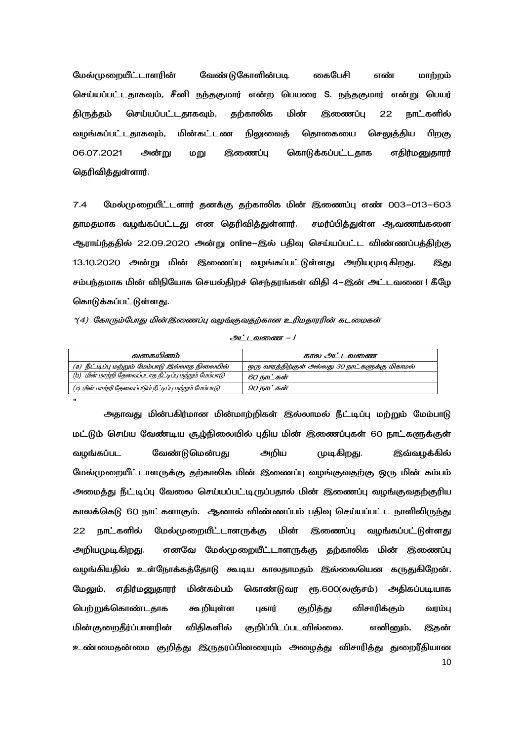கைபேசி மேல்முறையீட்டாளரின் வேண்டுகோளின்படி எண் மாற்றம் செய்யப்பட்டதாகவும், சீனி நந்தகுமார் என்ற பெயரை S. நந்தகுமார் என்று பெயர் தற்காலிக செய்யப்பட்டகாகவம். பின் இணைப்ப **நாட்களில்** கிருக்கம் 22 வழங்கப்பட்டதாகவும், மின்கட்டண நிலுவைத் கொகையை செலுத்திய பிறகு 06.07.2021 கொடுக்கப்பட்டதாக எதிர்மனுதாரர் அன்று மறு இணைப்பு தெரிவித்துள்ளார்.

 $7.4$ மேல்முறையீட்டளார் தனக்கு தற்காலிக மின் இணைப்பு எண் 003–013–603 தாமதமாக வழங்கப்பட்டது என தெரிவித்துள்ளார். சமர்ப்பித்துள்ள ஆவணங்களை ஆராய்ந்ததில் 22.09.2020 அன்று online–இல் பதிவு செய்யப்பட்ட விண்ணப்பத்திற்கு 13.10.2020 அன்று மின் இணைப்பு வழங்கப்பட்டுள்ளது அறியமுடிகிறது. இது சம்பந்தமாக மின் விநியோக செயல்திறச் செந்தரங்கள் விதி 4–இன் அட்டவனை I கீழே கொடுக்கப்பட்டுள்ளது.

"(4) கோரும்போது மின்இணைப்பு வழங்குவதற்கான உரிமதாரரின் கடமைகள்

 $\mathbf{u}$ 

அட்டவணை – /

| வகையினம்                                                | கால அட்டவணை                                     |
|---------------------------------------------------------|-------------------------------------------------|
| (a) நீட்டிப்பு மற்றும் மேம்பாடு இல்லாத நிலையில்         | ஒரு வாரத்திற்குள் அல்லது 30 நாட்களுக்கு மிகாமல் |
| (b) மின் மாற்றி தேவைப்படாத நீட்டிப்பு மற்றும் மேம்பாடு  | 60 நாட்கள்                                      |
| (c) மின் மாற்றி தேவைப்படும் நீட்டிப்பு மற்றும் மேம்பாடு | 90 நாட்கள்                                      |

அதாவது மின்பகிர்மான மின்மாற்றிகள் இல்லாமல் நீட்டிப்பு மற்றும் மேம்பாடு மட்டும் செய்ய வேண்டிய சூழ்நிலையில் புதிய மின் இணைப்புகள் 60 நாட்களுக்குள் அறிய வேண்டுமென்பது முடிகிறது. வழங்கப்பட இவ்வழக்கில் மேல்முறையீட்டாளருக்கு தற்காலிக மின் இணைப்பு வழங்குவதற்கு ஒரு மின் கம்பம் அமைத்து நீட்டிப்பு வேலை செய்யப்பட்டிருப்பதால் மின் இணைப்பு வழங்குவதற்குரிய காலக்கெடு 60 நாட்களாகும். ஆனால் விண்ணப்பம் பதிவு செய்யப்பட்ட நாளிலிருந்து 22 நாட்களில் மேல்முறையீட்டாளருக்கு மின் இணைப்பு வழங்கப்பட்டுள்ளது எனவே மேல்முறையீட்டாளருக்கு தற்காலிக மின் இணைப்பு அறியமுடிகிறது. வழங்கியதில் உள்நோக்கத்தோடு கூடிய காலதாமதம் இல்லையென கருதுகிறேன். மேலும், எதிர்மனுதாரர் மின்கம்பம் கொண்டுவர ரூ.600(லஞ்சம்) அதிகப்படியாக பெற்றுக்கொண்டதாக கூறியுள்ள விசாரிக்கும் புகார் குறித்து வரம்பு மின்குறைதீர்ப்பாளரின் விதிகளில் குறிப்பிடப்படவில்லை. எனினும், இதன் உண்மைதன்மை குறித்து இருதரப்பினரையும் அமைத்து விசாரித்து துறைரீதியான 10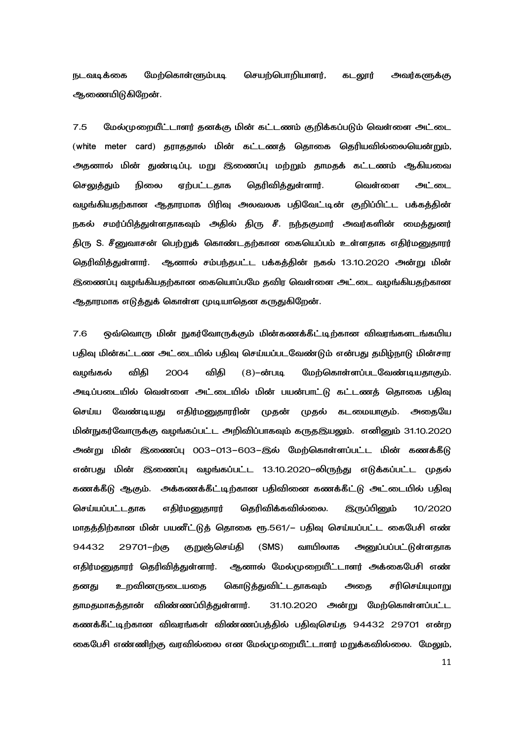நடவடிக்கை மேற்கொள்ளும்படி செயற்பொறியாளர், கடலூர் அவர்களுக்கு ஆணையிடுகிறேன்.

7.5 மேல்முறையீட்டாளர் தனக்கு மின் கட்டணம் குறிக்கப்படும் வெள்ளை அட்டை (white meter card) தராததால் மின் கட்டணத் தொகை தெரியவில்லையென்றும், அதனால் மின் துண்டிப்பு, மறு இணைப்பு மற்றும் தாமதக் கட்டணம் ஆகியவை <u>செலுத்து</u>ம் நிலை ஏற்பட்டதாக தெரிவித்துள்ளார். வெள்ளை அட்டை வழங்கியதற்கான ஆதாரமாக பிரிவு அலவலக பதிவேட்டின் குறிப்பிட்ட பக்கத்தின் நகல் சமர்ப்பித்துள்ளதாகவும் அதில் திரு சீ. நந்தகுமார் அவர்களின் மைத்துனர் திரு S. சீனுவாசன் பெற்றுக் கொண்டதற்கான கையெப்பம் உள்ளதாக எதிர்மனுதாரர் தெரிவித்துள்ளார். ஆனால் சம்பந்தபட்ட பக்கத்தின் நகல் 13.10.2020 அன்று மின் இணைப்பு வழங்கியதற்கான கையொப்பமே தவிர வெள்ளை அட்டை வழங்கியதற்கான ஆதாரமாக எடுத்துக் கொள்ள முடியாதென கருதுகிறேன்.

7.6 ஒவ்வொரு மின் நுகர்வோருக்கும் மின்கணக்கீட்டிற்கான விவரங்களடங்கயிய பதிவு மின்கட்டண அட்டையில் பதிவு செய்யப்படவேண்டும் என்பது தமிழ்நாடு மின்சார வழங்கல் விகி 2004 விகி (8)–ன்படி மேற்கொள்ளப்படவேண்டியதாகும். அடிப்படையில் வெள்ளை அட்டையில் மின் பயன்பாட்டு கட்டணத் தொகை பதிவு செய்ய வேண்டியது எதிர்மனுதாரரின் முதன் முதல் கடமையாகும். அதையே மின்நுகர்வோருக்கு வழங்கப்பட்ட அறிவிப்பாகவும் கருதஇயலும். எனினும் 31.10.2020 அன்று மின் இணைப்பு 003–013–603–இல் மேற்கொள்ளப்பட்ட மின் கணக்கீடு என்பது மின் இணைப்பு வழங்கப்பட்ட 13.10.2020–லிருந்து எடுக்கப்பட்ட முதல் கணக்கீடு ஆகும். அக்கணக்கீட்டிற்கான பதிவினை கணக்கீட்டு அட்டையில் பதிவு <u>செய்யப்பட்டதாக எதிர்மனுதாரர் தெரிவிக்கவில்லை. இருப்பினும் 10/2020</u> மாதத்திற்கான மின் பயனீட்டுத் தொகை ரூ.561/– பதிவு செய்யப்பட்ட கைபேசி எண் 94432 29701–ற்கு குறுஞ்செய்தி (SMS) வாயிலாக அனுப்பப்பட்டுள்ளதாக எதிர்மனுதாரர் தெரிவித்துள்ளார். ஆனால் மேல்முறையீட்டாளர் அக்கைபேசி எண் தனது உறவினருடையதை கொடுத்துவிட்டதாகவும் அதை சரிசெய்யுமாறு தாமதமாகத்தான் விண்ணப்பித்துள்ளார். 31.10.2020 அன் 31.10.2020 அன்று மேற்கொள்ளப்பட்ட கணக்கீட்டிற்கான விவரங்கள் விண்ணப்பத்தில் பதிவுசெய்த 94432 29701 என்ற கைபேசி எண்ணிற்கு வரவில்லை என மேல்முறையீட்டாளர் மறுக்கவில்லை. மேலும்,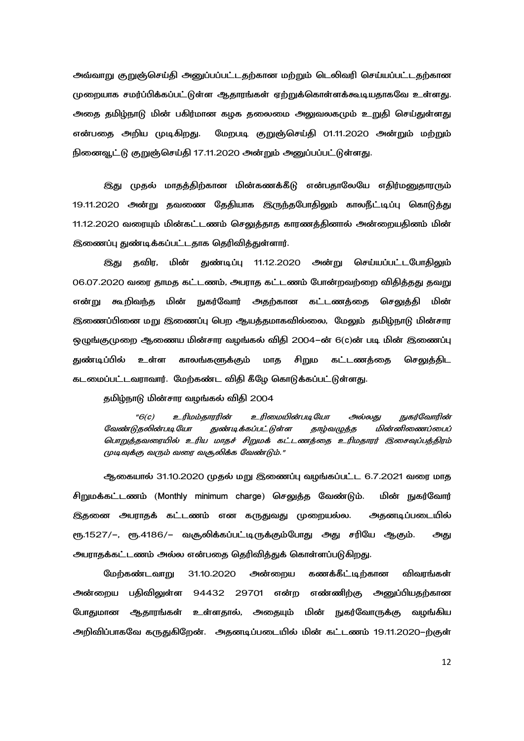அவ்வாறு குறுஞ்செய்தி அனுப்பப்பட்டதற்கான மற்றும் டெலிவரி செய்யப்பட்டதற்கான முறையாக சமர்ப்பிக்கப்பட்டுள்ள ஆதாரங்கள் ஏற்றுக்கொள்ளக்கூடியதாகவே உள்ளது. அதை தமிழ்நாடு மின் பகிர்மான கழக தலைமை அலுவலகமும் உறுதி செய்துள்ளது என்பதை அறிய முடிகிறது. பதை அறிய முடிகிறது. மேறபடி குறுஞ்செய்தி 01.11.2020 அன்றும் மற்றும் நினைவூட்டு குறுஞ்செய்தி 17.11.2020 அன்றும் அனுப்பப்பட்டுள்ளது.

இது முதல் மாதத்திற்கான மின்கணக்கீடு என்பதாலேயே எதிர்மனுதாரரும் 19.11.2020 அன்று தவணை தேதியாக இருந்தபோதிலும் காலநீட்டிப்பு கொடுத்து 11.12.2020 வரையும் மின்கட்டணம் செலுத்தாத காரணத்தினால் அன்றையதினம் மின் இணைப்பு துண்டிக்கப்பட்டதாக தெரிவித்துள்ளார்.

இது தவிர, துண்டிப்பு 11.12.2020 அன்று செய்யப்பட்டபோதிலும் 06.07.2020 வரை தாமத கட்டணம், அபராத கட்டணம் போன்றவற்றை விதித்தது தவறு என்று கூறிவந்த மின் நுகர்வோர் அதற்கான கட்டணத்தை செலுத்தி மின் மின் இணைப்பினை மறு இணைப்பு பெற ஆயத்தமாகவில்லை, மேலும் தமிழ்நாடு மின்சார ஒழுங்குமுறை ஆணைய மின்சார வழங்கல் விதி 2004–ன் 6(c)ன் படி மின் இணைப்பு துண்டிப்பில் உள்ள காலங்களுக்கும் மாத சிறும கட்டணத்தை செலுத்திட கடமைப்பட்டவராவார். மேற்கண்ட விதி கீழே கொடுக்கப்பட்டுள்ளது.

தமிழ்நாடு மின்சார வழங்கல் விதி 2004

"6(c) உரிமம்தாரரின் உரிமையின்படியோ படியோ அல்லது நுகர்வோரின் வேண்டுதலின்படியோ துண்டிக்கப்பட்டுள்ள தாழ்வழுத்த மின்னிணைப்பைப் பொறுத்தவரையில் உரிய மாதச் சிறுமக் கட்டணத்தை உரிமதாரர் இசைவுப்பத்திரம் முடிவுக்கு வரும் வரை வசூலிக்க வேண்டும்."

ஆகையால் 31.10.2020 முதல் மறு இணைப்பு வழங்கப்பட்ட 6.7.2021 வரை மாத சிறுமக்கட்டணம் (Monthly minimum charge) செலுத்த வேண்டும். மின் நுகர்வோர் இதனை அபராதக் கட்டணம் என கருதுவது முறையல்ல. அதனடிப்படையில் ரூ.1527/~, ரூ.4186/~ வசூலிக்கப்பட்டிருக்கும்போது அது சரியே ஆகும். அது அபராதக்கட்டணம் அல்ல என்பதை தெரிவித்துக் கொள்ளப்படுகிறது.

மேற்கண்டவாறு 31.10.2020 அன்றைய கணக்கீட்டிற்கான விவரங்கள் அன்றைய பதிவிலுள்ள 94432 29701 என்ற எண்ணிற்கு அனுப்பியதற்கான போதுமான ஆதாரங்கள் உள்ளதால், அதையும் மின் நுகர்வோருக்கு வழங்கிய அறிவிப்பாகவே கருதுகிறேன். அதனடிப்படையில் மின் கட்டணம் 19.11.2020-ற்குள்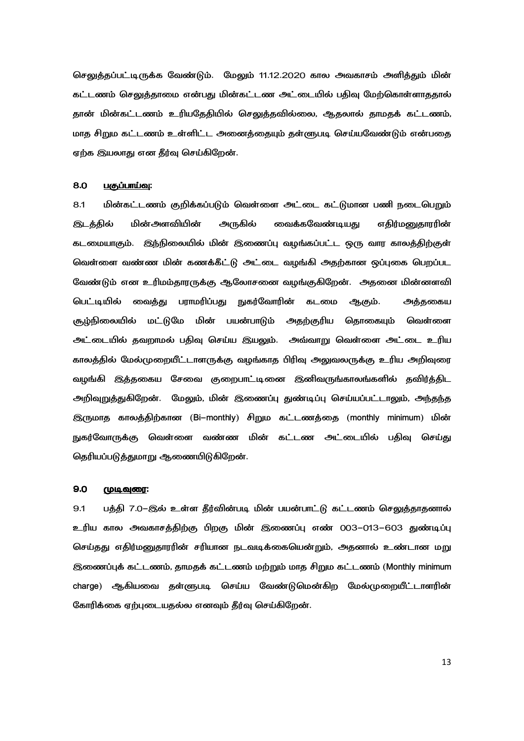செலுத்தப்பட்டிருக்க வேண்டும். மேலும் 11.12.2020 கால அவகாசம் அளித்தும் மின் கட்டணம் செலுத்தாமை என்பது மின்கட்டண அட்டையில் பதிவு மேற்கொள்ளாததால் தான் மின்கட்டணம் உரியதேதியில் செலுத்தவில்லை, ஆதலால் தாமதக் கட்டணம், மாத சிறும கட்டணம் உள்ளிட்ட அனைத்தையும் தள்ளுபடி செய்யவேண்டும் என்பதை ஏற்க இயலாது என தீர்வு செய்கிறேன்.

#### 8.0 <u>பகுப்பாய்வு</u>:

8.1 மின்கட்டணம் குறிக்கப்படும் வெள்ளை அட்டை கட்டுமான பணி நடைபெறும் இடத்தில் மின்அளவியின் அருகில் வைக்கவேண்டியது எதிர்மனுதாரரின் கடமையாகும். இந்நிலையில் மின் இணைப்பு வழங்கப்பட்ட ஒரு வார காலத்திற்குள் வெள்ளை வண்ண மின் கணக்கீட்டு அட்டை வழங்கி அதற்கான ஒப்புகை பெறப்பட வேண்டும் என உரிமம்தாரருக்கு ஆலோசனை வழங்குகிறேன். அதனை மின்னளவி பெட்டியில் வைத்து பராமரிப்பது நுகர்வோரின் கடமை ஆகும். அத்தகைய சூழ்நிலையில் மட்டுமே ் பயன்பாடும் அதற்குரிய தொகையும் வெள்ளை அட்டையில் தவறாமல் பதிவு செய்ய இயலும். அவ்வாறு வெள்ளை அட்டை உரிய காலத்தில் மேல்முறையீட்டாளருக்கு வழங்காத பிரிவு அலுவலருக்கு உரிய அறிவுரை வழங்கி இத்தகைய சேவை குறைபாட்டினை இனிவருங்காலங்களில் தவிர்த்திட அறிவுறுத்துகிறேன். மேலும், மின் இணைப்பு துண்டிப்பு செய்யப்பட்டாலும், அந்தந்த இருமாத காலத்திற்கான (Bi–monthly) சிறும கட்டணத்தை (monthly minimum) மின் நுகர்வோருக்கு வெள்ளை வண்ண மின் கட்டண அட்டையில் பதிவு செய்து தெரியப்படுத்துமாறு ஆணையிடுகிறேன்.

#### 9.0 <u>முடிவுரை</u>:

9.1 பத்தி 7.0–இல் உள்ள தீர்வின்படி மின் பயன்பாட்டு கட்டணம் செலுத்தாதனால் உரிய கால அவகாசத்திற்கு பிறகு மின் இணைப்பு எண் 003–013–603 துண்டிப்பு செய்தது எதிர்மனுதாரரின் சரியான நடவடிக்கையென்றும், அதனால் உண்டான மறு இணைப்புக் கட்டணம், தாமதக் கட்டணம் மற்றும் மாத சிறும கட்டணம் (Monthly minimum charge) ஆகியவை தள்ளுபடி செய்ய வேண்டுமென்கிற மேல்முறையீட்டாளரின் கோரிக்கை ஏற்புடையதல்ல எனவும் தீர்வு செய்கிறேன்.